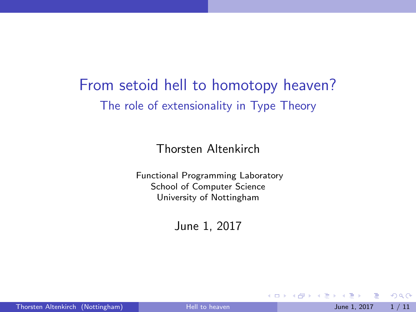# <span id="page-0-0"></span>From setoid hell to homotopy heaven? The role of extensionality in Type Theory

Thorsten Altenkirch

Functional Programming Laboratory School of Computer Science University of Nottingham

June 1, 2017

4 0 8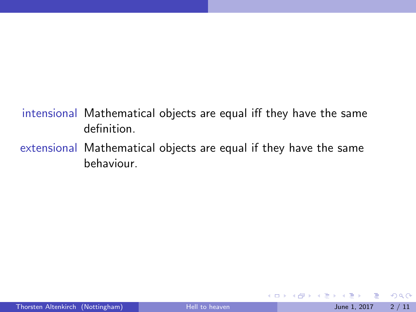#### intensional Mathematical objects are equal iff they have the same definition.

extensional Mathematical objects are equal if they have the same behaviour.

4 日下

化重 经间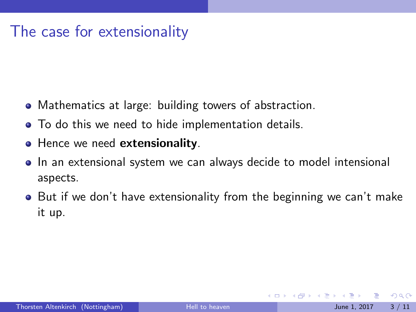### The case for extensionality

- Mathematics at large: building towers of abstraction.
- To do this we need to hide implementation details.
- Hence we need extensionality.
- **•** In an extensional system we can always decide to model intensional aspects.
- **•** But if we don't have extensionality from the beginning we can't make it up.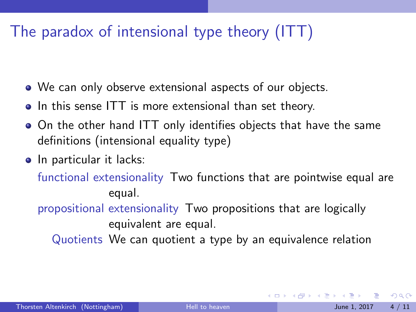# The paradox of intensional type theory (ITT)

- We can only observe extensional aspects of our objects.
- In this sense ITT is more extensional than set theory.
- On the other hand ITT only identifies objects that have the same definitions (intensional equality type)
- o In particular it lacks:

functional extensionality Two functions that are pointwise equal are equal.

propositional extensionality Two propositions that are logically equivalent are equal.

Quotients We can quotient a type by an equivalence relation

 $QQQ$ 

 $\triangleright$  and  $\exists$   $\triangleright$  and  $\exists$   $\triangleright$ 

4 0 8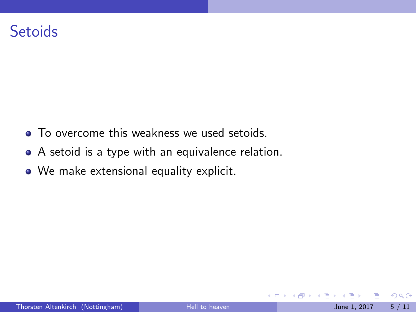### **Setoids**

- To overcome this weakness we used setoids.
- A setoid is a type with an equivalence relation.
- We make extensional equality explicit.

4 0 8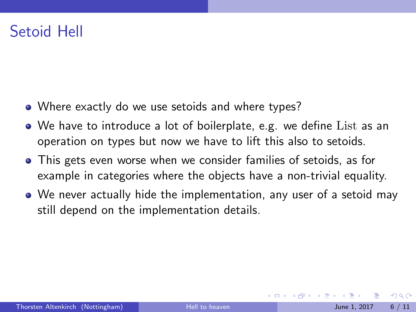# Setoid Hell

- Where exactly do we use setoids and where types?
- We have to introduce a lot of boilerplate, e.g. we define List as an operation on types but now we have to lift this also to setoids.
- This gets even worse when we consider families of setoids, as for example in categories where the objects have a non-trivial equality.
- We never actually hide the implementation, any user of a setoid may still depend on the implementation details.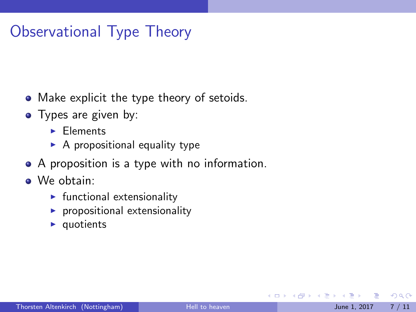# Observational Type Theory

- Make explicit the type theory of setoids.
- Types are given by:
	- $\blacktriangleright$  Elements
	- $\blacktriangleright$  A propositional equality type
- A proposition is a type with no information.
- We obtain:
	- $\blacktriangleright$  functional extensionality
	- $\blacktriangleright$  propositional extensionality
	- $\blacktriangleright$  quotients

4 日下

 $QQQ$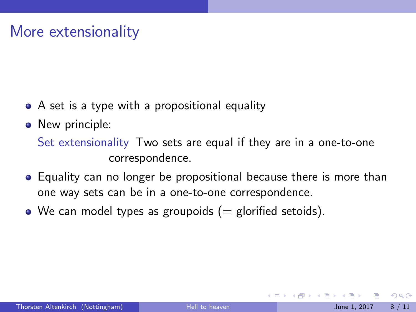## More extensionality

- A set is a type with a propositional equality
- New principle:

Set extensionality Two sets are equal if they are in a one-to-one correspondence.

- Equality can no longer be propositional because there is more than one way sets can be in a one-to-one correspondence.
- We can model types as groupoids  $(=$  glorified setoids).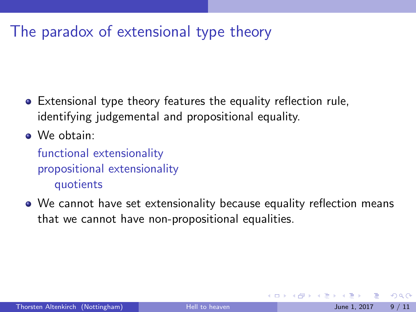# The paradox of extensional type theory

- Extensional type theory features the equality reflection rule, identifying judgemental and propositional equality.
- We obtain:

functional extensionality propositional extensionality quotients

We cannot have set extensionality because equality reflection means that we cannot have non-propositional equalities.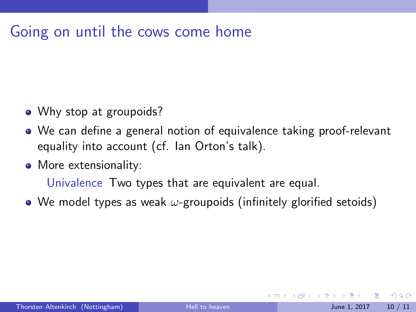### Going on until the cows come home

- Why stop at groupoids?
- We can define a general notion of equivalence taking proof-relevant equality into account (cf. Ian Orton's talk).
- More extensionality:

Univalence Two types that are equivalent are equal.

• We model types as weak  $\omega$ -groupoids (infinitely glorified setoids)